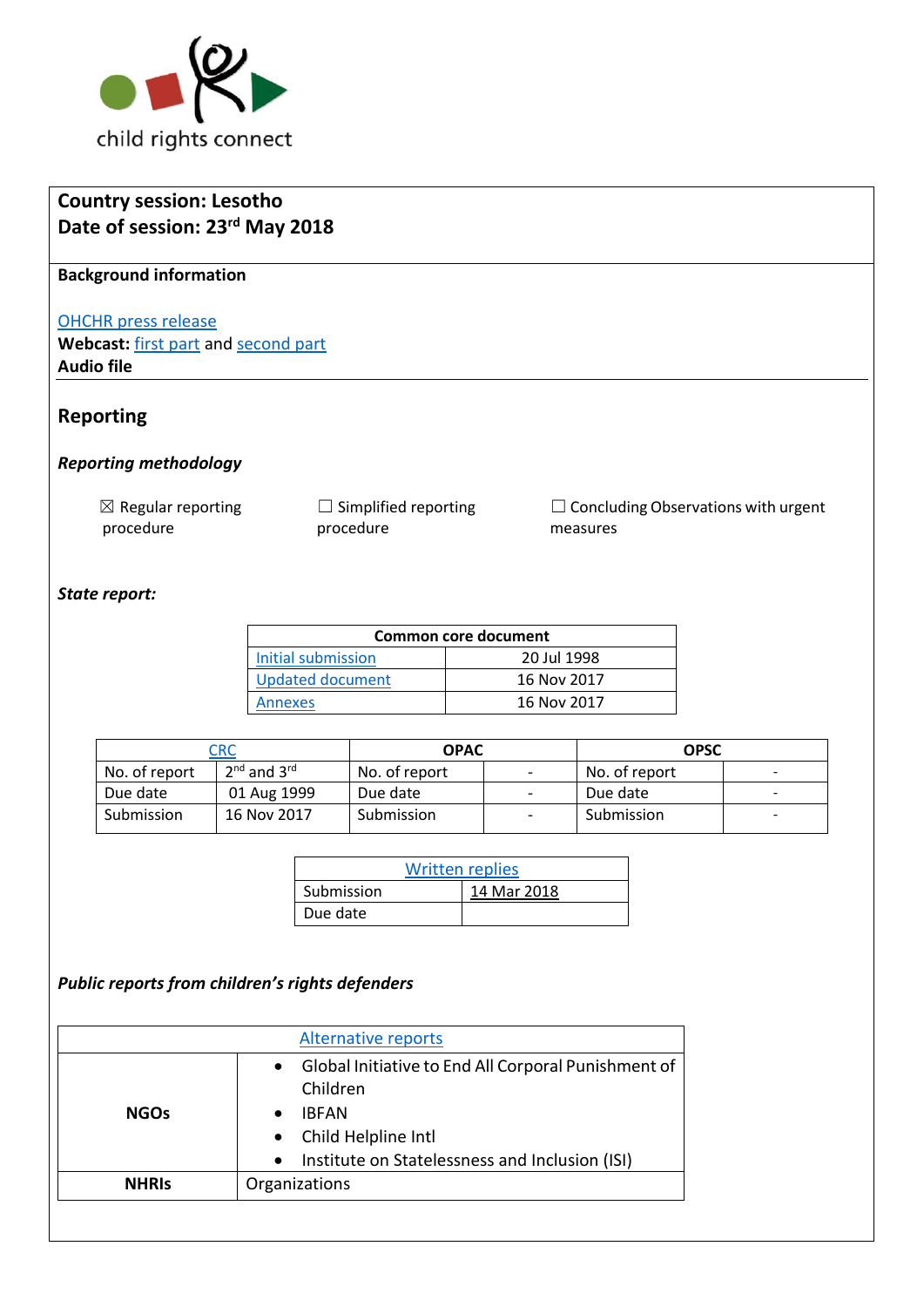

| <b>Country session: Lesotho</b>            |                                        |                                                        |
|--------------------------------------------|----------------------------------------|--------------------------------------------------------|
| Date of session: 23rd May 2018             |                                        |                                                        |
| <b>Background information</b>              |                                        |                                                        |
| <b>OHCHR</b> press release                 |                                        |                                                        |
| Webcast: first part and second part        |                                        |                                                        |
| <b>Audio file</b>                          |                                        |                                                        |
|                                            |                                        |                                                        |
| <b>Reporting</b>                           |                                        |                                                        |
| <b>Reporting methodology</b>               |                                        |                                                        |
| $\boxtimes$ Regular reporting<br>procedure | Simplified reporting<br>⊔<br>procedure | $\Box$ Concluding Observations with urgent<br>measures |
| State report:                              |                                        |                                                        |

| Common core document |             |  |
|----------------------|-------------|--|
| Initial submission   | 20 Jul 1998 |  |
| Updated document     | 16 Nov 2017 |  |
| <b>Annexes</b>       | 16 Nov 2017 |  |

|               | CRC             | <b>OPAC</b>   |                          | <b>OPSC</b>   |                          |
|---------------|-----------------|---------------|--------------------------|---------------|--------------------------|
| No. of report | $2nd$ and $3rd$ | No. of report | $\overline{\phantom{a}}$ | No. of report | -                        |
| Due date      | 01 Aug 1999     | Due date      | $\overline{\phantom{a}}$ | Due date      |                          |
| Submission    | 16 Nov 2017     | Submission    | $\overline{\phantom{a}}$ | Submission    | $\overline{\phantom{0}}$ |

| <b>Written replies</b> |             |  |
|------------------------|-------------|--|
| Submission             | 14 Mar 2018 |  |
| Due date               |             |  |

# *Public reports from children's rights defenders*

|              | <b>Alternative reports</b>                                                                                                                                                                      |
|--------------|-------------------------------------------------------------------------------------------------------------------------------------------------------------------------------------------------|
| <b>NGOs</b>  | Global Initiative to End All Corporal Punishment of<br>$\bullet$<br>Children<br><b>IBFAN</b><br>Child Helpline Intl<br>$\bullet$<br>Institute on Statelessness and Inclusion (ISI)<br>$\bullet$ |
| <b>NHRIS</b> | Organizations                                                                                                                                                                                   |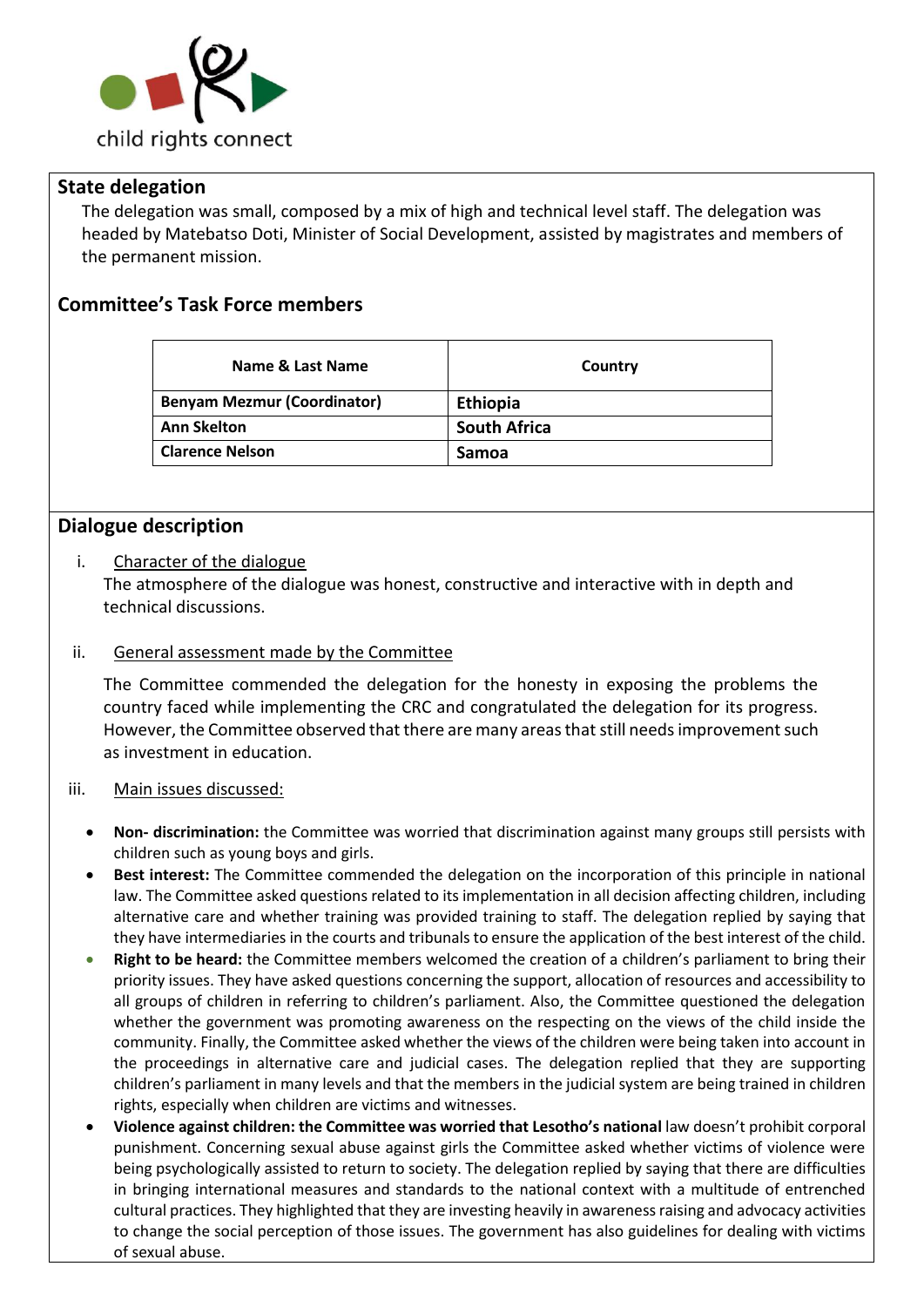

### **State delegation**

The delegation was small, composed by a mix of high and technical level staff. The delegation was headed by Matebatso Doti, Minister of Social Development, assisted by magistrates and members of the permanent mission.

## **Committee's Task Force members**

| Name & Last Name                   | Country             |
|------------------------------------|---------------------|
| <b>Benyam Mezmur (Coordinator)</b> | <b>Ethiopia</b>     |
| <b>Ann Skelton</b>                 | <b>South Africa</b> |
| <b>Clarence Nelson</b>             | <b>Samoa</b>        |

### **Dialogue description**

#### i. Character of the dialogue

The atmosphere of the dialogue was honest, constructive and interactive with in depth and technical discussions.

#### ii. General assessment made by the Committee

The Committee commended the delegation for the honesty in exposing the problems the country faced while implementing the CRC and congratulated the delegation for its progress. However, the Committee observed that there are many areas that still needs improvement such as investment in education.

#### iii. Main issues discussed:

- **Non- discrimination:** the Committee was worried that discrimination against many groups still persists with children such as young boys and girls.
- **Best interest:** The Committee commended the delegation on the incorporation of this principle in national law. The Committee asked questions related to its implementation in all decision affecting children, including alternative care and whether training was provided training to staff. The delegation replied by saying that they have intermediaries in the courts and tribunals to ensure the application of the best interest of the child.
- **Right to be heard:** the Committee members welcomed the creation of a children's parliament to bring their priority issues. They have asked questions concerning the support, allocation of resources and accessibility to all groups of children in referring to children's parliament. Also, the Committee questioned the delegation whether the government was promoting awareness on the respecting on the views of the child inside the community. Finally, the Committee asked whether the views of the children were being taken into account in the proceedings in alternative care and judicial cases. The delegation replied that they are supporting children's parliament in many levels and that the members in the judicial system are being trained in children rights, especially when children are victims and witnesses.
- **Violence against children: the Committee was worried that Lesotho's national** law doesn't prohibit corporal punishment. Concerning sexual abuse against girls the Committee asked whether victims of violence were being psychologically assisted to return to society. The delegation replied by saying that there are difficulties in bringing international measures and standards to the national context with a multitude of entrenched cultural practices. They highlighted that they are investing heavily in awareness raising and advocacy activities to change the social perception of those issues. The government has also guidelines for dealing with victims of sexual abuse.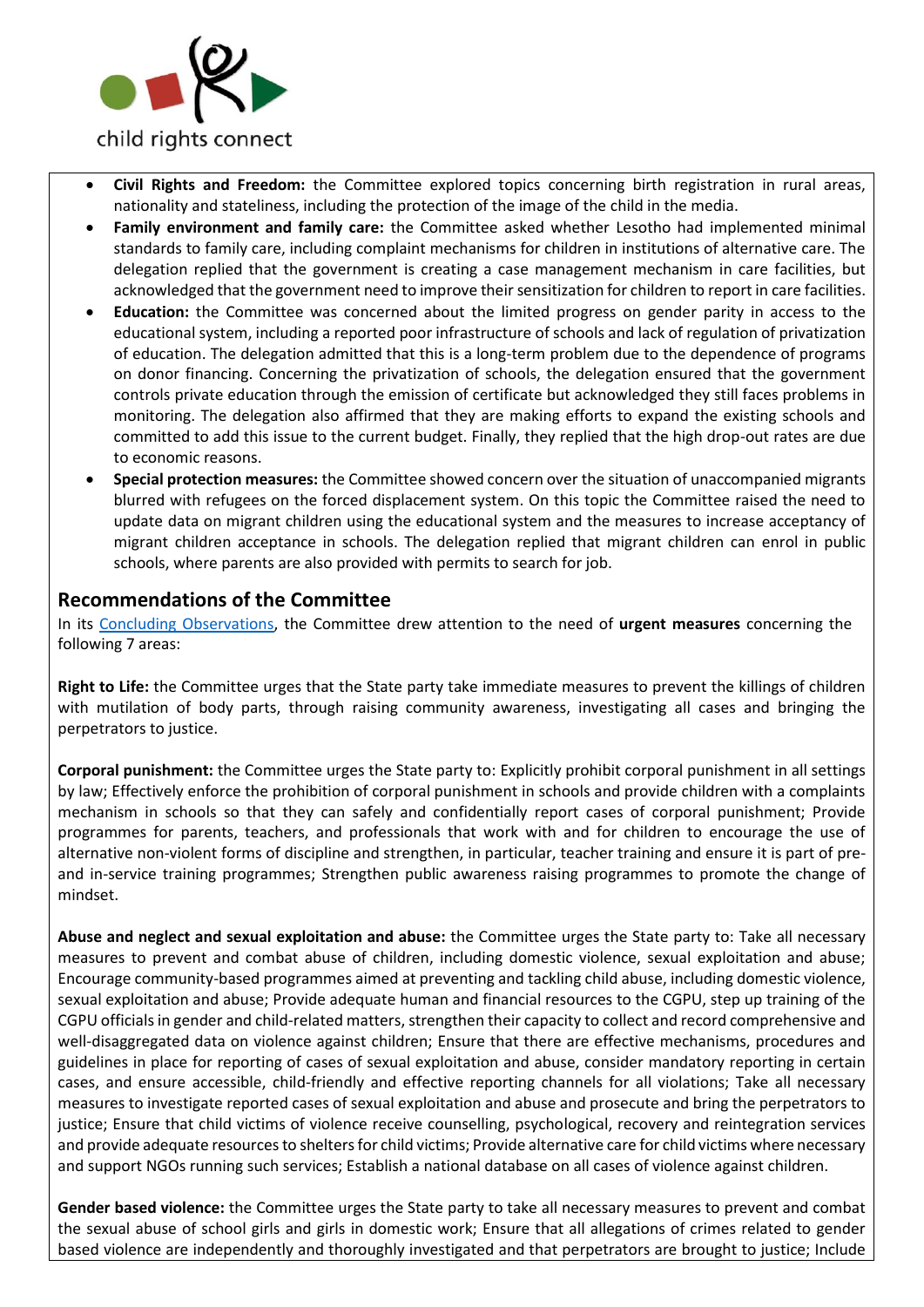

- **Civil Rights and Freedom:** the Committee explored topics concerning birth registration in rural areas, nationality and stateliness, including the protection of the image of the child in the media.
- **Family environment and family care:** the Committee asked whether Lesotho had implemented minimal standards to family care, including complaint mechanisms for children in institutions of alternative care. The delegation replied that the government is creating a case management mechanism in care facilities, but acknowledged that the government need to improve their sensitization for children to report in care facilities.
- **Education:** the Committee was concerned about the limited progress on gender parity in access to the educational system, including a reported poor infrastructure of schools and lack of regulation of privatization of education. The delegation admitted that this is a long-term problem due to the dependence of programs on donor financing. Concerning the privatization of schools, the delegation ensured that the government controls private education through the emission of certificate but acknowledged they still faces problems in monitoring. The delegation also affirmed that they are making efforts to expand the existing schools and committed to add this issue to the current budget. Finally, they replied that the high drop-out rates are due to economic reasons.
- **Special protection measures:** the Committee showed concern over the situation of unaccompanied migrants blurred with refugees on the forced displacement system. On this topic the Committee raised the need to update data on migrant children using the educational system and the measures to increase acceptancy of migrant children acceptance in schools. The delegation replied that migrant children can enrol in public schools, where parents are also provided with permits to search for job.

#### **Recommendations of the Committee**

In its [Concluding Observations,](http://tbinternet.ohchr.org/_layouts/treatybodyexternal/Download.aspx?symbolno=CRC%2fC%2fLSO%2fCO%2f2&Lang=en) the Committee drew attention to the need of **urgent measures** concerning the following 7 areas:

**Right to Life:** the Committee urges that the State party take immediate measures to prevent the killings of children with mutilation of body parts, through raising community awareness, investigating all cases and bringing the perpetrators to justice.

**Corporal punishment:** the Committee urges the State party to: Explicitly prohibit corporal punishment in all settings by law; Effectively enforce the prohibition of corporal punishment in schools and provide children with a complaints mechanism in schools so that they can safely and confidentially report cases of corporal punishment; Provide programmes for parents, teachers, and professionals that work with and for children to encourage the use of alternative non-violent forms of discipline and strengthen, in particular, teacher training and ensure it is part of preand in-service training programmes; Strengthen public awareness raising programmes to promote the change of mindset.

**Abuse and neglect and sexual exploitation and abuse:** the Committee urges the State party to: Take all necessary measures to prevent and combat abuse of children, including domestic violence, sexual exploitation and abuse; Encourage community-based programmes aimed at preventing and tackling child abuse, including domestic violence, sexual exploitation and abuse; Provide adequate human and financial resources to the CGPU, step up training of the CGPU officials in gender and child-related matters, strengthen their capacity to collect and record comprehensive and well-disaggregated data on violence against children; Ensure that there are effective mechanisms, procedures and guidelines in place for reporting of cases of sexual exploitation and abuse, consider mandatory reporting in certain cases, and ensure accessible, child-friendly and effective reporting channels for all violations; Take all necessary measures to investigate reported cases of sexual exploitation and abuse and prosecute and bring the perpetrators to justice; Ensure that child victims of violence receive counselling, psychological, recovery and reintegration services and provide adequate resources to shelters for child victims; Provide alternative care for child victims where necessary and support NGOs running such services; Establish a national database on all cases of violence against children.

**Gender based violence:** the Committee urges the State party to take all necessary measures to prevent and combat the sexual abuse of school girls and girls in domestic work; Ensure that all allegations of crimes related to gender based violence are independently and thoroughly investigated and that perpetrators are brought to justice; Include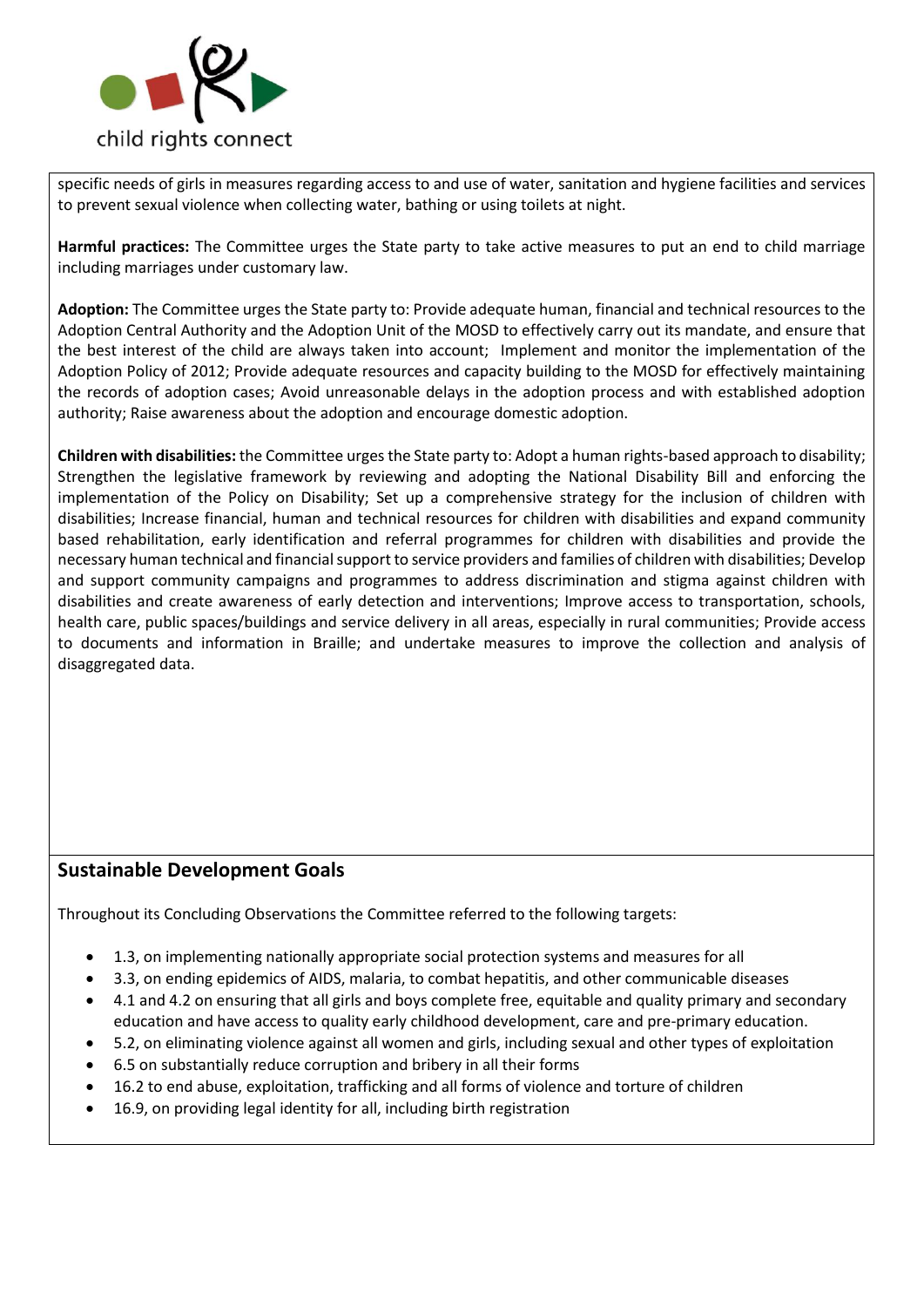

specific needs of girls in measures regarding access to and use of water, sanitation and hygiene facilities and services to prevent sexual violence when collecting water, bathing or using toilets at night.

**Harmful practices:** The Committee urges the State party to take active measures to put an end to child marriage including marriages under customary law.

**Adoption:** The Committee urges the State party to: Provide adequate human, financial and technical resources to the Adoption Central Authority and the Adoption Unit of the MOSD to effectively carry out its mandate, and ensure that the best interest of the child are always taken into account; Implement and monitor the implementation of the Adoption Policy of 2012; Provide adequate resources and capacity building to the MOSD for effectively maintaining the records of adoption cases; Avoid unreasonable delays in the adoption process and with established adoption authority; Raise awareness about the adoption and encourage domestic adoption.

**Children with disabilities:** the Committee urges the State party to: Adopt a human rights-based approach to disability; Strengthen the legislative framework by reviewing and adopting the National Disability Bill and enforcing the implementation of the Policy on Disability; Set up a comprehensive strategy for the inclusion of children with disabilities; Increase financial, human and technical resources for children with disabilities and expand community based rehabilitation, early identification and referral programmes for children with disabilities and provide the necessary human technical and financial support to service providers and families of children with disabilities; Develop and support community campaigns and programmes to address discrimination and stigma against children with disabilities and create awareness of early detection and interventions; Improve access to transportation, schools, health care, public spaces/buildings and service delivery in all areas, especially in rural communities; Provide access to documents and information in Braille; and undertake measures to improve the collection and analysis of disaggregated data.

## **Sustainable Development Goals**

Throughout its Concluding Observations the Committee referred to the following targets:

- 1.3, on implementing nationally appropriate social protection systems and measures for all
- 3.3, on ending epidemics of AIDS, malaria, to combat hepatitis, and other communicable diseases
- 4.1 and 4.2 on ensuring that all girls and boys complete free, equitable and quality primary and secondary education and have access to quality early childhood development, care and pre-primary education.
- 5.2, on eliminating violence against all women and girls, including sexual and other types of exploitation
- 6.5 on substantially reduce corruption and bribery in all their forms
- 16.2 to end abuse, exploitation, trafficking and all forms of violence and torture of children
- 16.9, on providing legal identity for all, including birth registration